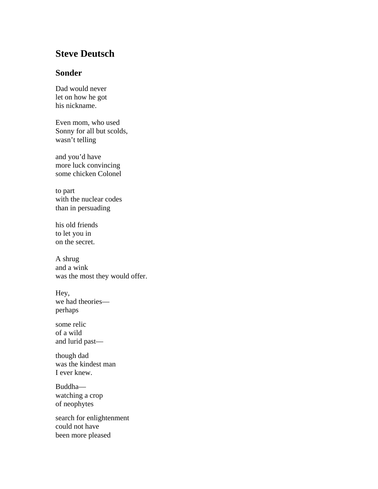## **Steve Deutsch**

## **Sonder**

Dad would never let on how he got his nickname.

Even mom, who used Sonny for all but scolds, wasn't telling

and you'd have more luck convincing some chicken Colonel

to part with the nuclear codes than in persuading

his old friends to let you in on the secret.

A shrug and a wink was the most they would offer.

Hey, we had theories perhaps

some relic of a wild and lurid past—

though dad was the kindest man I ever knew.

Buddha watching a crop of neophytes

search for enlightenment could not have been more pleased